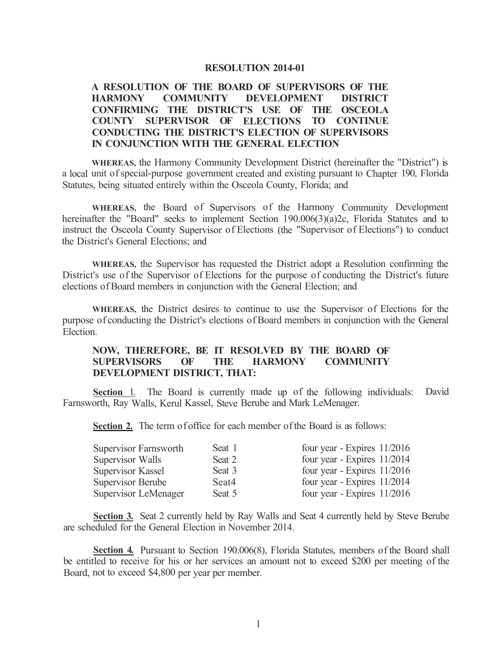#### **RESOLUTION 2014-01**

# **A RESOLUTION OF THE BOARD OF SUPERVISORS OF THE HARMONY COMMUNITY DEVELOPMENT DISTRICT CONFIRMING THE DISTRICT'S USE OF THE OSCEOLA COUNTY SUPERVISOR OF ELECTIONS TO CONTINUE CONDUCTING THE DISTRICT'S ELECTION OF SUPERVISORS IN CONJUNCTION WITH THE GENERAL ELECTION**

**WHEREAS,** the Harmony Community Development District (hereinafter the "District") is a local unit of special-purpose government created and existing pursuant to Chapter 190, Florida Statutes, being situated entirely within the Osceola County, Florida; and

**WHEREAS,** the Board of Supervisors of the Harmony Community Development hereinafter the "Board" seeks to implement Section 190.006(3)(a)2c, Florida Statutes and to instruct the Osceola County Supervisor of Elections (the "Supervisor of Elections") to conduct the District's General Elections; and

**WHEREAS,** the Supervisor has requested the District adopt a Resolution confirming the District's use of the Supervisor of Elections for the purpose of conducting the District's future elections of Board members in conjunction with the General Election; and

**WHEREAS,** the District desires to continue to use the Supervisor of Elections for the purpose of conducting the District's elections of Board members in conjunction with the General Election.

# **NOW, THEREFORE, BE IT RESOLVED BY THE BOARD OF SUPERVISORS OF THE HARMONY COMMUNITY DEVELOPMENT DISTRICT, THAT:**

**Section** 1. The Board is currently made up of the following individuals: David Farnsworth, Ray Walls, Kerul Kassel, Steve Berube and Mark LeMenager.

**Section 2.** The term of office for each member of the Board is as follows:

| Supervisor Farnsworth | Seat 1 | four year - Expires $11/2016$ |
|-----------------------|--------|-------------------------------|
| Supervisor Walls      | Seat 2 | four year - Expires 11/2014   |
| Supervisor Kassel     | Seat 3 | four year - Expires $11/2016$ |
| Supervisor Berube     | Seat4  | four year - Expires $11/2014$ |
| Supervisor LeMenager  | Seat 5 | four year - Expires $11/2016$ |

**Section 3.** Seat 2 currently held by Ray Walls and Seat 4 currently held by Steve Berube are scheduled for the General Election in November 2014.

Section 4. Pursuant to Section 190.006(8), Florida Statutes, members of the Board shall be entitled to receive for his or her services an amount not to exceed \$200 per meeting of the Board, not to exceed \$4,800 per year per member.